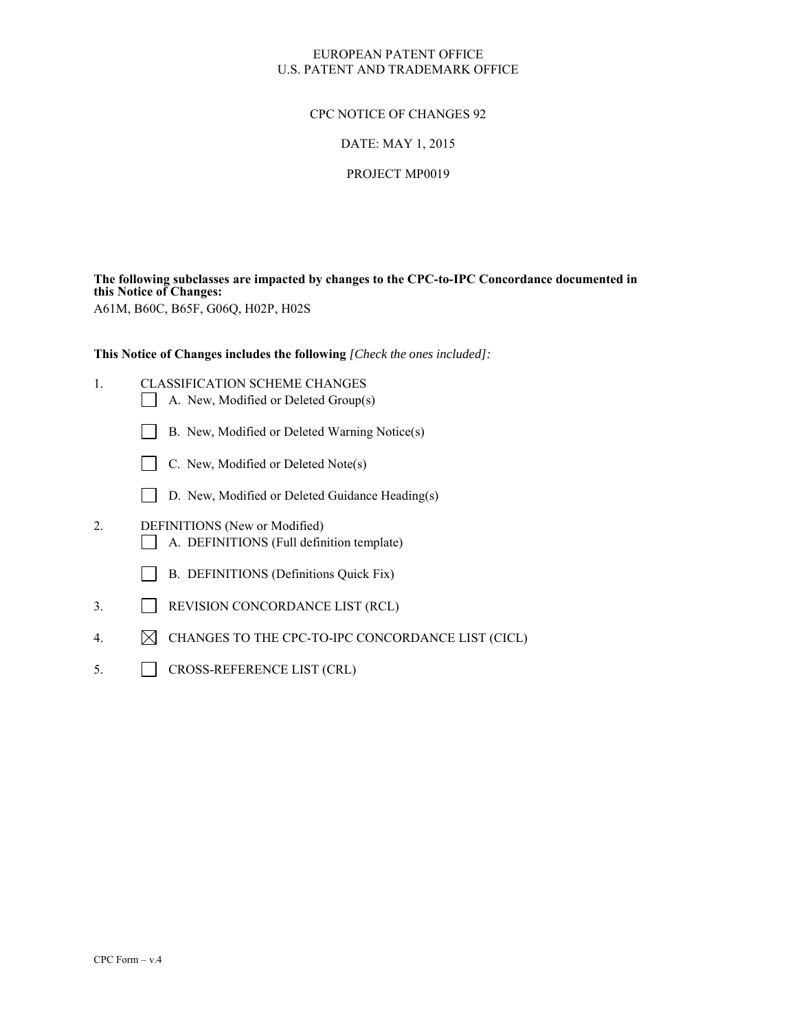### EUROPEAN PATENT OFFICE U.S. PATENT AND TRADEMARK OFFICE

### CPC NOTICE OF CHANGES 92

### DATE: MAY 1, 2015

#### PROJECT MP0019

**The following subclasses are impacted by changes to the CPC-to-IPC Concordance documented in this Notice of Changes:** 

A61M, B60C, B65F, G06Q, H02P, H02S

**This Notice of Changes includes the following** *[Check the ones included]:*

- 1. CLASSIFICATION SCHEME CHANGES A. New, Modified or Deleted Group(s)
	- B. New, Modified or Deleted Warning Notice(s)
	- $\Box$  C. New, Modified or Deleted Note(s)
	- D. New, Modified or Deleted Guidance Heading(s)
- 2. DEFINITIONS (New or Modified) A. DEFINITIONS (Full definition template)
	- B. DEFINITIONS (Definitions Quick Fix)
- 3. REVISION CONCORDANCE LIST (RCL)
- 4.  $\boxtimes$  CHANGES TO THE CPC-TO-IPC CONCORDANCE LIST (CICL)
- 5. CROSS-REFERENCE LIST (CRL)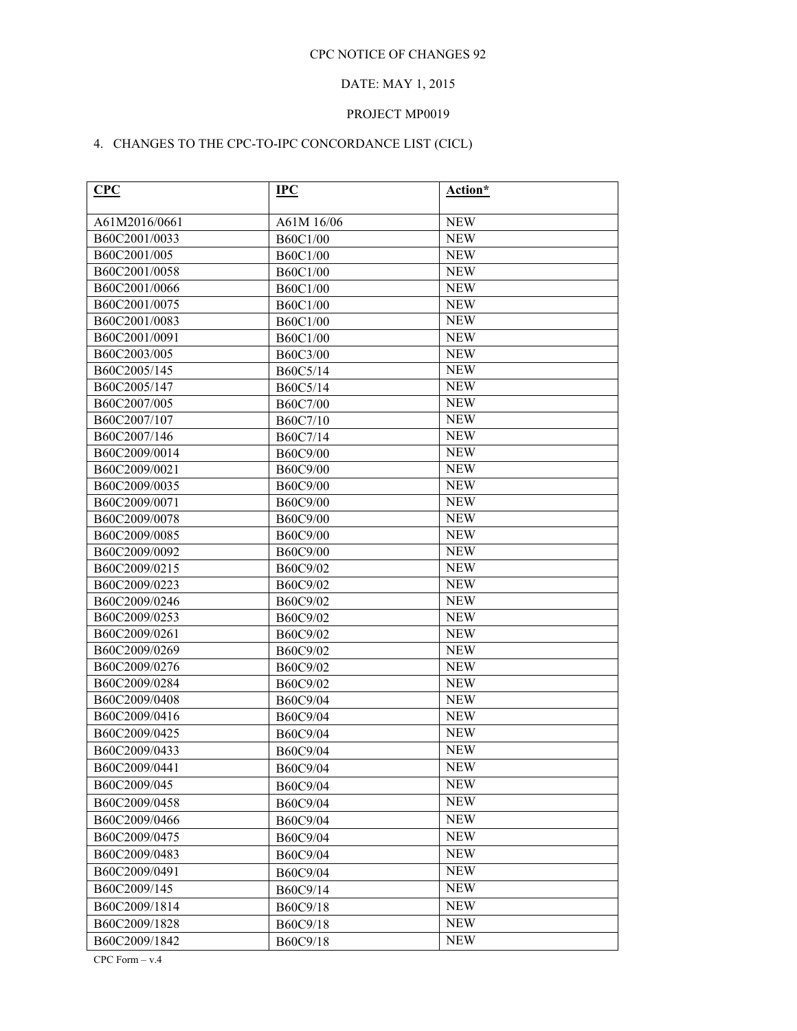# DATE: MAY 1, 2015

## PROJECT MP0019

# 4. CHANGES TO THE CPC-TO-IPC CONCORDANCE LIST (CICL)

| CPC           | $_{\rm IPC}$    | Action*    |
|---------------|-----------------|------------|
| A61M2016/0661 | A61M 16/06      | <b>NEW</b> |
| B60C2001/0033 | B60C1/00        | <b>NEW</b> |
| B60C2001/005  | B60C1/00        | <b>NEW</b> |
| B60C2001/0058 | B60C1/00        | <b>NEW</b> |
| B60C2001/0066 | B60C1/00        | <b>NEW</b> |
| B60C2001/0075 | B60C1/00        | <b>NEW</b> |
| B60C2001/0083 | B60C1/00        | <b>NEW</b> |
| B60C2001/0091 | B60C1/00        | <b>NEW</b> |
| B60C2003/005  | B60C3/00        | <b>NEW</b> |
| B60C2005/145  | B60C5/14        | <b>NEW</b> |
| B60C2005/147  | B60C5/14        | <b>NEW</b> |
| B60C2007/005  | <b>B60C7/00</b> | <b>NEW</b> |
| B60C2007/107  | B60C7/10        | <b>NEW</b> |
| B60C2007/146  | B60C7/14        | <b>NEW</b> |
| B60C2009/0014 | B60C9/00        | <b>NEW</b> |
| B60C2009/0021 | B60C9/00        | <b>NEW</b> |
| B60C2009/0035 | B60C9/00        | <b>NEW</b> |
| B60C2009/0071 | B60C9/00        | <b>NEW</b> |
| B60C2009/0078 | B60C9/00        | <b>NEW</b> |
| B60C2009/0085 | B60C9/00        | <b>NEW</b> |
| B60C2009/0092 | B60C9/00        | <b>NEW</b> |
| B60C2009/0215 | B60C9/02        | <b>NEW</b> |
| B60C2009/0223 | B60C9/02        | <b>NEW</b> |
| B60C2009/0246 | B60C9/02        | <b>NEW</b> |
| B60C2009/0253 | B60C9/02        | <b>NEW</b> |
| B60C2009/0261 | B60C9/02        | <b>NEW</b> |
| B60C2009/0269 | B60C9/02        | <b>NEW</b> |
| B60C2009/0276 | B60C9/02        | <b>NEW</b> |
| B60C2009/0284 | B60C9/02        | <b>NEW</b> |
| B60C2009/0408 | B60C9/04        | <b>NEW</b> |
| B60C2009/0416 | B60C9/04        | <b>NEW</b> |
| B60C2009/0425 | B60C9/04        | <b>NEW</b> |
| B60C2009/0433 | B60C9/04        | <b>NEW</b> |
| B60C2009/0441 | B60C9/04        | <b>NEW</b> |
| B60C2009/045  | B60C9/04        | <b>NEW</b> |
| B60C2009/0458 | B60C9/04        | <b>NEW</b> |
| B60C2009/0466 | B60C9/04        | <b>NEW</b> |
| B60C2009/0475 | B60C9/04        | <b>NEW</b> |
| B60C2009/0483 | B60C9/04        | <b>NEW</b> |
| B60C2009/0491 | B60C9/04        | <b>NEW</b> |
| B60C2009/145  | B60C9/14        | <b>NEW</b> |
| B60C2009/1814 | B60C9/18        | <b>NEW</b> |
| B60C2009/1828 | B60C9/18        | <b>NEW</b> |
| B60C2009/1842 | B60C9/18        | <b>NEW</b> |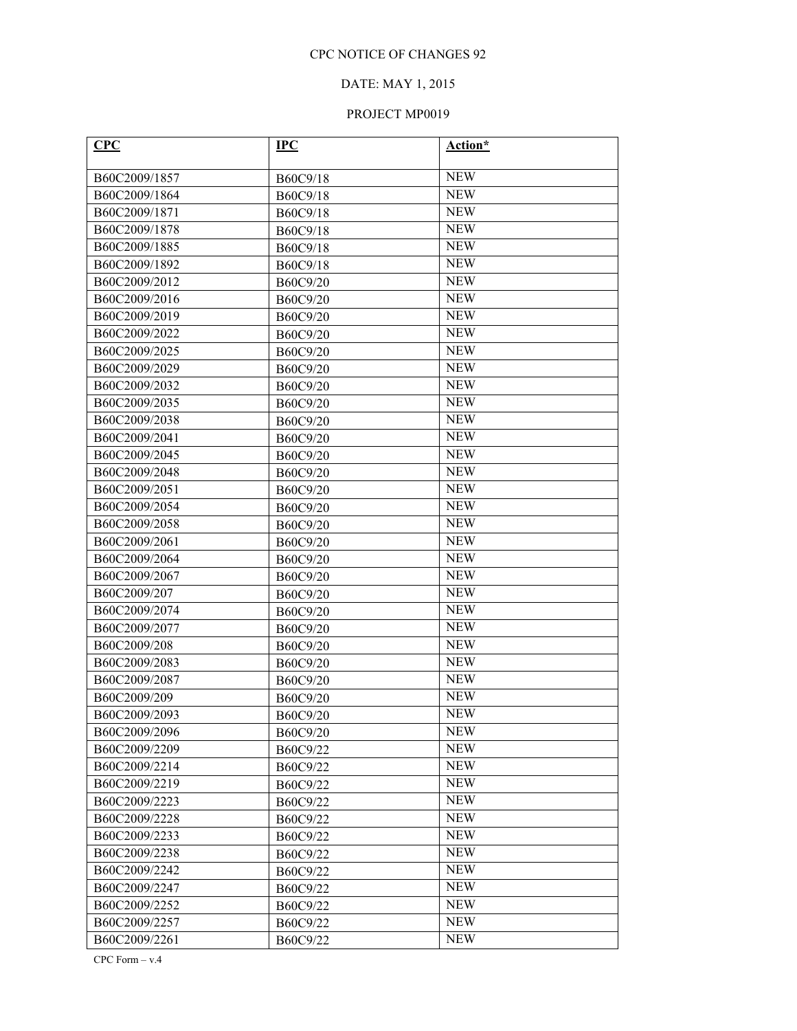## DATE: MAY 1, 2015

# PROJECT MP0019

| CPC           | $IPC$    | Action*    |
|---------------|----------|------------|
|               |          | <b>NEW</b> |
| B60C2009/1857 | B60C9/18 | <b>NEW</b> |
| B60C2009/1864 | B60C9/18 |            |
| B60C2009/1871 | B60C9/18 | <b>NEW</b> |
| B60C2009/1878 | B60C9/18 | <b>NEW</b> |
| B60C2009/1885 | B60C9/18 | <b>NEW</b> |
| B60C2009/1892 | B60C9/18 | <b>NEW</b> |
| B60C2009/2012 | B60C9/20 | <b>NEW</b> |
| B60C2009/2016 | B60C9/20 | <b>NEW</b> |
| B60C2009/2019 | B60C9/20 | <b>NEW</b> |
| B60C2009/2022 | B60C9/20 | <b>NEW</b> |
| B60C2009/2025 | B60C9/20 | <b>NEW</b> |
| B60C2009/2029 | B60C9/20 | <b>NEW</b> |
| B60C2009/2032 | B60C9/20 | <b>NEW</b> |
| B60C2009/2035 | B60C9/20 | <b>NEW</b> |
| B60C2009/2038 | B60C9/20 | <b>NEW</b> |
| B60C2009/2041 | B60C9/20 | <b>NEW</b> |
| B60C2009/2045 | B60C9/20 | <b>NEW</b> |
| B60C2009/2048 | B60C9/20 | <b>NEW</b> |
| B60C2009/2051 | B60C9/20 | <b>NEW</b> |
| B60C2009/2054 | B60C9/20 | <b>NEW</b> |
| B60C2009/2058 | B60C9/20 | <b>NEW</b> |
| B60C2009/2061 | B60C9/20 | <b>NEW</b> |
| B60C2009/2064 | B60C9/20 | <b>NEW</b> |
| B60C2009/2067 | B60C9/20 | <b>NEW</b> |
| B60C2009/207  | B60C9/20 | <b>NEW</b> |
| B60C2009/2074 | B60C9/20 | <b>NEW</b> |
| B60C2009/2077 | B60C9/20 | <b>NEW</b> |
| B60C2009/208  | B60C9/20 | <b>NEW</b> |
| B60C2009/2083 | B60C9/20 | <b>NEW</b> |
| B60C2009/2087 | B60C9/20 | <b>NEW</b> |
| B60C2009/209  | B60C9/20 | <b>NEW</b> |
| B60C2009/2093 | B60C9/20 | <b>NEW</b> |
| B60C2009/2096 | B60C9/20 | <b>NEW</b> |
| B60C2009/2209 | B60C9/22 | <b>NEW</b> |
| B60C2009/2214 | B60C9/22 | <b>NEW</b> |
| B60C2009/2219 | B60C9/22 | <b>NEW</b> |
| B60C2009/2223 | B60C9/22 | <b>NEW</b> |
| B60C2009/2228 | B60C9/22 | <b>NEW</b> |
| B60C2009/2233 | B60C9/22 | <b>NEW</b> |
| B60C2009/2238 | B60C9/22 | <b>NEW</b> |
| B60C2009/2242 | B60C9/22 | <b>NEW</b> |
| B60C2009/2247 | B60C9/22 | <b>NEW</b> |
| B60C2009/2252 | B60C9/22 | <b>NEW</b> |
| B60C2009/2257 | B60C9/22 | <b>NEW</b> |
| B60C2009/2261 | B60C9/22 | <b>NEW</b> |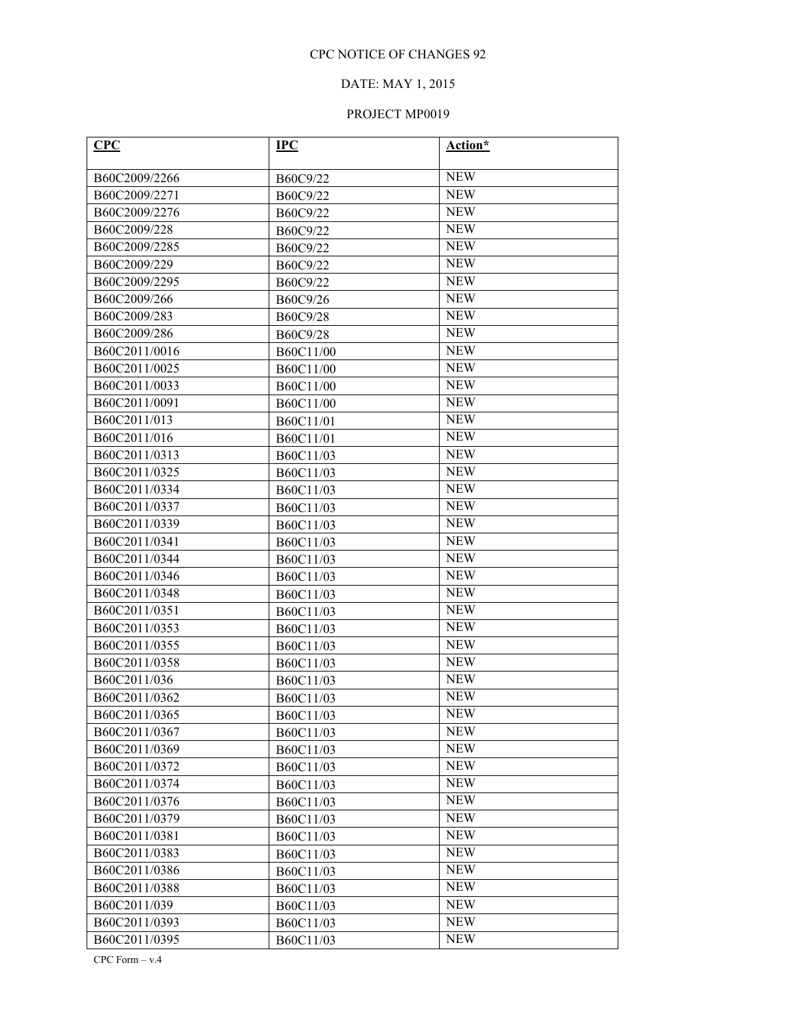## DATE: MAY 1, 2015

# PROJECT MP0019

| CPC           | <b>IPC</b> | Action*    |
|---------------|------------|------------|
| B60C2009/2266 | B60C9/22   | <b>NEW</b> |
| B60C2009/2271 | B60C9/22   | <b>NEW</b> |
| B60C2009/2276 | B60C9/22   | <b>NEW</b> |
| B60C2009/228  | B60C9/22   | <b>NEW</b> |
| B60C2009/2285 | B60C9/22   | <b>NEW</b> |
| B60C2009/229  | B60C9/22   | <b>NEW</b> |
| B60C2009/2295 | B60C9/22   | <b>NEW</b> |
| B60C2009/266  | B60C9/26   | <b>NEW</b> |
| B60C2009/283  | B60C9/28   | <b>NEW</b> |
| B60C2009/286  | B60C9/28   | <b>NEW</b> |
| B60C2011/0016 | B60C11/00  | <b>NEW</b> |
| B60C2011/0025 | B60C11/00  | <b>NEW</b> |
| B60C2011/0033 | B60C11/00  | <b>NEW</b> |
| B60C2011/0091 | B60C11/00  | <b>NEW</b> |
| B60C2011/013  | B60C11/01  | <b>NEW</b> |
| B60C2011/016  | B60C11/01  | <b>NEW</b> |
| B60C2011/0313 | B60C11/03  | <b>NEW</b> |
| B60C2011/0325 | B60C11/03  | <b>NEW</b> |
| B60C2011/0334 | B60C11/03  | <b>NEW</b> |
| B60C2011/0337 | B60C11/03  | <b>NEW</b> |
| B60C2011/0339 | B60C11/03  | <b>NEW</b> |
| B60C2011/0341 | B60C11/03  | <b>NEW</b> |
| B60C2011/0344 | B60C11/03  | <b>NEW</b> |
| B60C2011/0346 | B60C11/03  | <b>NEW</b> |
| B60C2011/0348 | B60C11/03  | <b>NEW</b> |
| B60C2011/0351 | B60C11/03  | <b>NEW</b> |
| B60C2011/0353 | B60C11/03  | <b>NEW</b> |
| B60C2011/0355 | B60C11/03  | <b>NEW</b> |
| B60C2011/0358 | B60C11/03  | <b>NEW</b> |
| B60C2011/036  | B60C11/03  | <b>NEW</b> |
| B60C2011/0362 | B60C11/03  | <b>NEW</b> |
| B60C2011/0365 | B60C11/03  | <b>NEW</b> |
| B60C2011/0367 | B60C11/03  | <b>NEW</b> |
| B60C2011/0369 | B60C11/03  | <b>NEW</b> |
| B60C2011/0372 | B60C11/03  | <b>NEW</b> |
| B60C2011/0374 | B60C11/03  | <b>NEW</b> |
| B60C2011/0376 | B60C11/03  | <b>NEW</b> |
| B60C2011/0379 | B60C11/03  | <b>NEW</b> |
| B60C2011/0381 | B60C11/03  | <b>NEW</b> |
| B60C2011/0383 | B60C11/03  | <b>NEW</b> |
| B60C2011/0386 | B60C11/03  | <b>NEW</b> |
| B60C2011/0388 | B60C11/03  | <b>NEW</b> |
| B60C2011/039  | B60C11/03  | <b>NEW</b> |
| B60C2011/0393 | B60C11/03  | <b>NEW</b> |
| B60C2011/0395 | B60C11/03  | NEW        |

CPC Form – v.4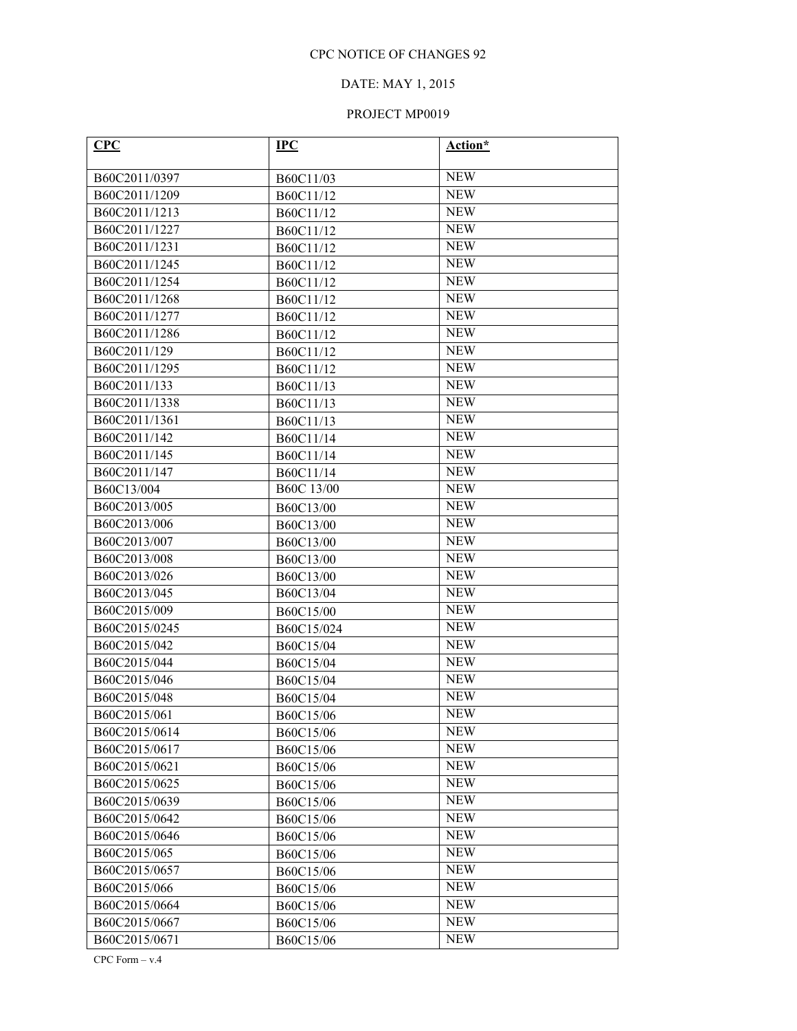## DATE: MAY 1, 2015

# PROJECT MP0019

| CPC                           | <b>IPC</b> | Action*                  |
|-------------------------------|------------|--------------------------|
| B60C2011/0397                 | B60C11/03  | <b>NEW</b>               |
| B60C2011/1209                 | B60C11/12  | <b>NEW</b>               |
| B60C2011/1213                 | B60C11/12  | <b>NEW</b>               |
| B60C2011/1227                 | B60C11/12  | <b>NEW</b>               |
| B60C2011/1231                 | B60C11/12  | <b>NEW</b>               |
| B60C2011/1245                 | B60C11/12  | <b>NEW</b>               |
| B60C2011/1254                 | B60C11/12  | <b>NEW</b>               |
| B60C2011/1268                 | B60C11/12  | <b>NEW</b>               |
| B60C2011/1277                 | B60C11/12  | <b>NEW</b>               |
| B60C2011/1286                 | B60C11/12  | <b>NEW</b>               |
| B60C2011/129                  | B60C11/12  | <b>NEW</b>               |
| B60C2011/1295                 | B60C11/12  | <b>NEW</b>               |
| B60C2011/133                  | B60C11/13  | <b>NEW</b>               |
| B60C2011/1338                 | B60C11/13  | <b>NEW</b>               |
| B60C2011/1361                 | B60C11/13  | <b>NEW</b>               |
| B60C2011/142                  | B60C11/14  | <b>NEW</b>               |
| B60C2011/145                  | B60C11/14  | <b>NEW</b>               |
| B60C2011/147                  | B60C11/14  | <b>NEW</b>               |
| B60C13/004                    | B60C 13/00 | <b>NEW</b>               |
| B60C2013/005                  | B60C13/00  | <b>NEW</b>               |
| B60C2013/006                  | B60C13/00  | <b>NEW</b>               |
| B60C2013/007                  | B60C13/00  | <b>NEW</b>               |
| B60C2013/008                  | B60C13/00  | <b>NEW</b>               |
| B60C2013/026                  | B60C13/00  | <b>NEW</b>               |
| B60C2013/045                  | B60C13/04  | <b>NEW</b>               |
| B60C2015/009                  | B60C15/00  | <b>NEW</b>               |
| B60C2015/0245                 | B60C15/024 | <b>NEW</b>               |
| B60C2015/042                  | B60C15/04  | <b>NEW</b>               |
| B60C2015/044                  | B60C15/04  | <b>NEW</b>               |
| B60C2015/046                  | B60C15/04  | <b>NEW</b>               |
| B60C2015/048                  | B60C15/04  | <b>NEW</b>               |
| B60C2015/061                  | B60C15/06  | <b>NEW</b>               |
| B60C2015/0614                 | B60C15/06  | <b>NEW</b>               |
| B60C2015/0617                 | B60C15/06  | <b>NEW</b>               |
| B60C2015/0621                 | B60C15/06  | <b>NEW</b>               |
| B60C2015/0625                 | B60C15/06  | <b>NEW</b>               |
| B60C2015/0639                 | B60C15/06  | <b>NEW</b>               |
| B60C2015/0642                 | B60C15/06  | <b>NEW</b>               |
| B60C2015/0646                 | B60C15/06  | <b>NEW</b><br><b>NEW</b> |
| B60C2015/065                  | B60C15/06  | <b>NEW</b>               |
| B60C2015/0657                 | B60C15/06  | <b>NEW</b>               |
| B60C2015/066<br>B60C2015/0664 | B60C15/06  | <b>NEW</b>               |
| B60C2015/0667                 | B60C15/06  | <b>NEW</b>               |
| B60C2015/0671                 | B60C15/06  | <b>NEW</b>               |
|                               | B60C15/06  |                          |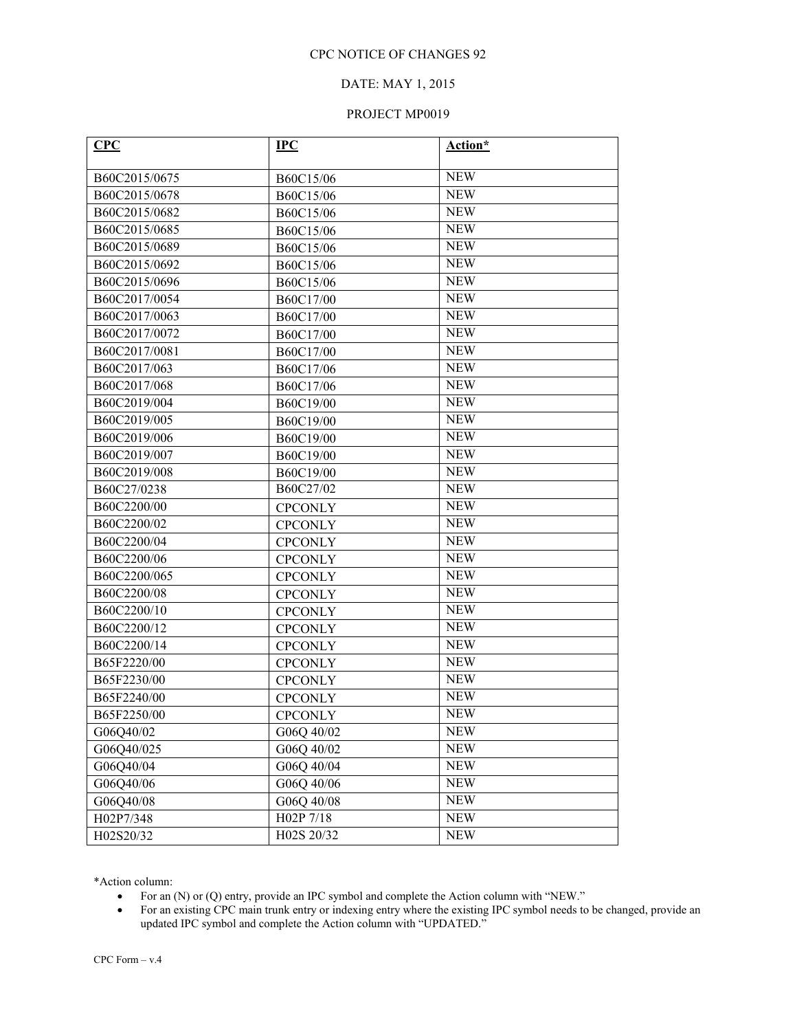## DATE: MAY 1, 2015

#### PROJECT MP0019

| CPC           | $_{\rm IPC}$            | Action*    |
|---------------|-------------------------|------------|
| B60C2015/0675 | B60C15/06               | <b>NEW</b> |
| B60C2015/0678 | B60C15/06               | <b>NEW</b> |
| B60C2015/0682 | B60C15/06               | <b>NEW</b> |
| B60C2015/0685 | B60C15/06               | <b>NEW</b> |
| B60C2015/0689 | B60C15/06               | <b>NEW</b> |
| B60C2015/0692 | B60C15/06               | <b>NEW</b> |
| B60C2015/0696 | B60C15/06               | <b>NEW</b> |
| B60C2017/0054 | B60C17/00               | <b>NEW</b> |
| B60C2017/0063 | B60C17/00               | <b>NEW</b> |
| B60C2017/0072 | B60C17/00               | <b>NEW</b> |
| B60C2017/0081 | B60C17/00               | <b>NEW</b> |
| B60C2017/063  | B60C17/06               | <b>NEW</b> |
| B60C2017/068  | B60C17/06               | <b>NEW</b> |
| B60C2019/004  | B60C19/00               | <b>NEW</b> |
| B60C2019/005  | B60C19/00               | <b>NEW</b> |
| B60C2019/006  | B60C19/00               | <b>NEW</b> |
| B60C2019/007  | B60C19/00               | <b>NEW</b> |
| B60C2019/008  | B60C19/00               | <b>NEW</b> |
| B60C27/0238   | B60C27/02               | <b>NEW</b> |
| B60C2200/00   | <b>CPCONLY</b>          | <b>NEW</b> |
| B60C2200/02   | <b>CPCONLY</b>          | <b>NEW</b> |
| B60C2200/04   | <b>CPCONLY</b>          | <b>NEW</b> |
| B60C2200/06   | <b>CPCONLY</b>          | <b>NEW</b> |
| B60C2200/065  | <b>CPCONLY</b>          | <b>NEW</b> |
| B60C2200/08   | <b>CPCONLY</b>          | <b>NEW</b> |
| B60C2200/10   | <b>CPCONLY</b>          | <b>NEW</b> |
| B60C2200/12   | <b>CPCONLY</b>          | <b>NEW</b> |
| B60C2200/14   | <b>CPCONLY</b>          | <b>NEW</b> |
| B65F2220/00   | <b>CPCONLY</b>          | <b>NEW</b> |
| B65F2230/00   | <b>CPCONLY</b>          | <b>NEW</b> |
| B65F2240/00   | <b>CPCONLY</b>          | <b>NEW</b> |
| B65F2250/00   | <b>CPCONLY</b>          | <b>NEW</b> |
| G06Q40/02     | G06Q 40/02              | <b>NEW</b> |
| G06Q40/025    | G06Q 40/02              | <b>NEW</b> |
| G06Q40/04     | G06Q 40/04              | <b>NEW</b> |
| G06Q40/06     | G06Q 40/06              | <b>NEW</b> |
| G06Q40/08     | G06Q 40/08              | <b>NEW</b> |
| H02P7/348     | H02P 7/18               | <b>NEW</b> |
| H02S20/32     | H <sub>0</sub> 2S 20/32 | <b>NEW</b> |

\*Action column:

- For an (N) or (Q) entry, provide an IPC symbol and complete the Action column with "NEW."
- For an existing CPC main trunk entry or indexing entry where the existing IPC symbol needs to be changed, provide an updated IPC symbol and complete the Action column with "UPDATED."